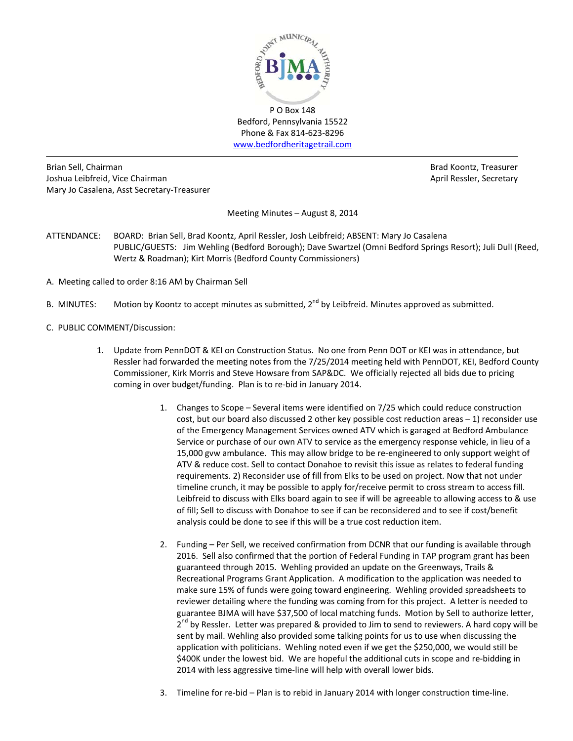

Bedford, Pennsylvania 15522 Phone & Fax 814‐623‐8296 www.bedfordheritagetrail.com

Brian Sell, Chairman Brad Koontz, Treasurer Joshua Leibfreid, Vice Chairman **April Ressler, Secretary** April Ressler, Secretary Mary Jo Casalena, Asst Secretary‐Treasurer

Meeting Minutes – August 8, 2014

- ATTENDANCE: BOARD: Brian Sell, Brad Koontz, April Ressler, Josh Leibfreid; ABSENT: Mary Jo Casalena PUBLIC/GUESTS: Jim Wehling (Bedford Borough); Dave Swartzel (Omni Bedford Springs Resort); Juli Dull (Reed, Wertz & Roadman); Kirt Morris (Bedford County Commissioners)
- A. Meeting called to order 8:16 AM by Chairman Sell
- B. MINUTES: Motion by Koontz to accept minutes as submitted,  $2^{nd}$  by Leibfreid. Minutes approved as submitted.
- C. PUBLIC COMMENT/Discussion:
	- 1. Update from PennDOT & KEI on Construction Status. No one from Penn DOT or KEI was in attendance, but Ressler had forwarded the meeting notes from the 7/25/2014 meeting held with PennDOT, KEI, Bedford County Commissioner, Kirk Morris and Steve Howsare from SAP&DC. We officially rejected all bids due to pricing coming in over budget/funding. Plan is to re‐bid in January 2014.
		- 1. Changes to Scope Several items were identified on 7/25 which could reduce construction cost, but our board also discussed 2 other key possible cost reduction areas – 1) reconsider use of the Emergency Management Services owned ATV which is garaged at Bedford Ambulance Service or purchase of our own ATV to service as the emergency response vehicle, in lieu of a 15,000 gvw ambulance. This may allow bridge to be re‐engineered to only support weight of ATV & reduce cost. Sell to contact Donahoe to revisit this issue as relates to federal funding requirements. 2) Reconsider use of fill from Elks to be used on project. Now that not under timeline crunch, it may be possible to apply for/receive permit to cross stream to access fill. Leibfreid to discuss with Elks board again to see if will be agreeable to allowing access to & use of fill; Sell to discuss with Donahoe to see if can be reconsidered and to see if cost/benefit analysis could be done to see if this will be a true cost reduction item.
		- 2. Funding Per Sell, we received confirmation from DCNR that our funding is available through 2016. Sell also confirmed that the portion of Federal Funding in TAP program grant has been guaranteed through 2015. Wehling provided an update on the Greenways, Trails & Recreational Programs Grant Application. A modification to the application was needed to make sure 15% of funds were going toward engineering. Wehling provided spreadsheets to reviewer detailing where the funding was coming from for this project. A letter is needed to guarantee BJMA will have \$37,500 of local matching funds. Motion by Sell to authorize letter,  $2^{nd}$  by Ressler. Letter was prepared & provided to Jim to send to reviewers. A hard copy will be sent by mail. Wehling also provided some talking points for us to use when discussing the application with politicians. Wehling noted even if we get the \$250,000, we would still be \$400K under the lowest bid. We are hopeful the additional cuts in scope and re-bidding in 2014 with less aggressive time-line will help with overall lower bids.
		- 3. Timeline for re-bid Plan is to rebid in January 2014 with longer construction time-line.